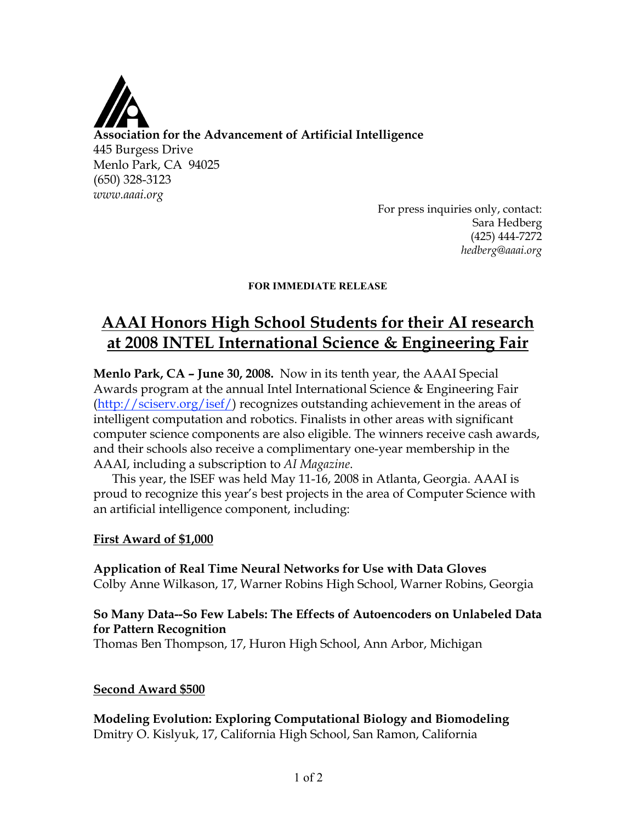

For press inquiries only, contact: Sara Hedberg (425) 444-7272 *hedberg@aaai.org*

#### **FOR IMMEDIATE RELEASE**

# **AAAI Honors High School Students for their AI research at 2008 INTEL International Science & Engineering Fair**

**Menlo Park, CA – June 30, 2008.** Now in its tenth year, the AAAI Special Awards program at the annual Intel International Science & Engineering Fair (http://sciserv.org/isef/) recognizes outstanding achievement in the areas of intelligent computation and robotics. Finalists in other areas with significant computer science components are also eligible. The winners receive cash awards, and their schools also receive a complimentary one-year membership in the AAAI, including a subscription to *AI Magazine*.

This year, the ISEF was held May 11-16, 2008 in Atlanta, Georgia. AAAI is proud to recognize this year's best projects in the area of Computer Science with an artificial intelligence component, including:

#### **First Award of \$1,000**

# **Application of Real Time Neural Networks for Use with Data Gloves** Colby Anne Wilkason, 17, Warner Robins High School, Warner Robins, Georgia

### **So Many Data--So Few Labels: The Effects of Autoencoders on Unlabeled Data for Pattern Recognition**

Thomas Ben Thompson, 17, Huron High School, Ann Arbor, Michigan

#### **Second Award \$500**

**Modeling Evolution: Exploring Computational Biology and Biomodeling** Dmitry O. Kislyuk, 17, California High School, San Ramon, California